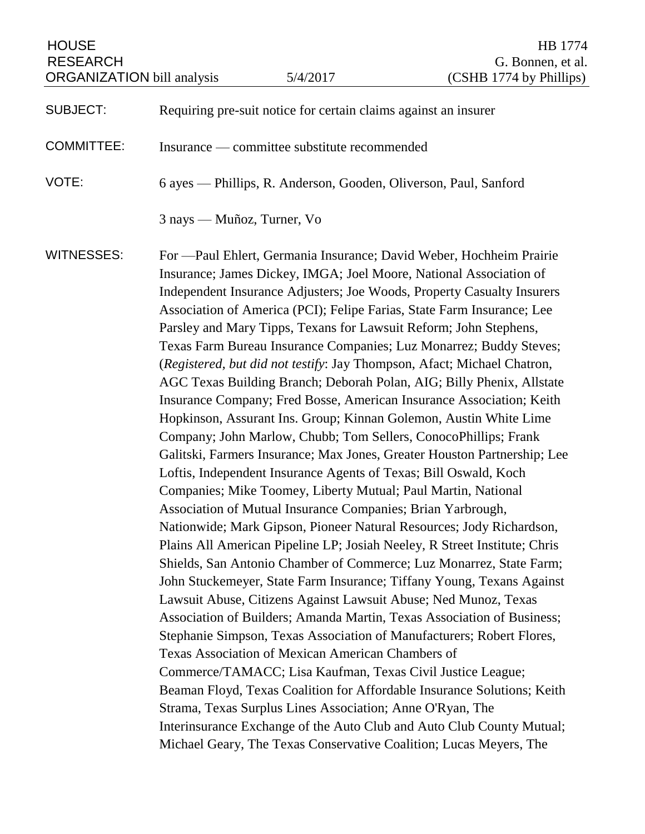HOUSE HB 1774 RESEARCH G. Bonnen, et al.<br>
ORGANIZATION bill analysis 5/4/2017 (CSHB 1774 by Phillips) ORGANIZATION bill analysis 5/4/2017

| <b>SUBJECT:</b>   | Requiring pre-suit notice for certain claims against an insurer                                                                                                                                                                                                                                                                                                                                                                                                                                                                                                                                                                                                                                                                                                                                                                                                                                                                                                                                                                                                                                                                                                                                                                                                                                                                                                                                                                                                                                                                                                                                                                                                                                                                                                                                                                                                                                                                                                                                                                    |
|-------------------|------------------------------------------------------------------------------------------------------------------------------------------------------------------------------------------------------------------------------------------------------------------------------------------------------------------------------------------------------------------------------------------------------------------------------------------------------------------------------------------------------------------------------------------------------------------------------------------------------------------------------------------------------------------------------------------------------------------------------------------------------------------------------------------------------------------------------------------------------------------------------------------------------------------------------------------------------------------------------------------------------------------------------------------------------------------------------------------------------------------------------------------------------------------------------------------------------------------------------------------------------------------------------------------------------------------------------------------------------------------------------------------------------------------------------------------------------------------------------------------------------------------------------------------------------------------------------------------------------------------------------------------------------------------------------------------------------------------------------------------------------------------------------------------------------------------------------------------------------------------------------------------------------------------------------------------------------------------------------------------------------------------------------------|
| <b>COMMITTEE:</b> | Insurance — committee substitute recommended                                                                                                                                                                                                                                                                                                                                                                                                                                                                                                                                                                                                                                                                                                                                                                                                                                                                                                                                                                                                                                                                                                                                                                                                                                                                                                                                                                                                                                                                                                                                                                                                                                                                                                                                                                                                                                                                                                                                                                                       |
| VOTE:             | 6 ayes — Phillips, R. Anderson, Gooden, Oliverson, Paul, Sanford                                                                                                                                                                                                                                                                                                                                                                                                                                                                                                                                                                                                                                                                                                                                                                                                                                                                                                                                                                                                                                                                                                                                                                                                                                                                                                                                                                                                                                                                                                                                                                                                                                                                                                                                                                                                                                                                                                                                                                   |
|                   | 3 nays — Muñoz, Turner, Vo                                                                                                                                                                                                                                                                                                                                                                                                                                                                                                                                                                                                                                                                                                                                                                                                                                                                                                                                                                                                                                                                                                                                                                                                                                                                                                                                                                                                                                                                                                                                                                                                                                                                                                                                                                                                                                                                                                                                                                                                         |
| <b>WITNESSES:</b> | For — Paul Ehlert, Germania Insurance; David Weber, Hochheim Prairie<br>Insurance; James Dickey, IMGA; Joel Moore, National Association of<br>Independent Insurance Adjusters; Joe Woods, Property Casualty Insurers<br>Association of America (PCI); Felipe Farias, State Farm Insurance; Lee<br>Parsley and Mary Tipps, Texans for Lawsuit Reform; John Stephens,<br>Texas Farm Bureau Insurance Companies; Luz Monarrez; Buddy Steves;<br>(Registered, but did not testify: Jay Thompson, Afact; Michael Chatron,<br>AGC Texas Building Branch; Deborah Polan, AIG; Billy Phenix, Allstate<br>Insurance Company; Fred Bosse, American Insurance Association; Keith<br>Hopkinson, Assurant Ins. Group; Kinnan Golemon, Austin White Lime<br>Company; John Marlow, Chubb; Tom Sellers, ConocoPhillips; Frank<br>Galitski, Farmers Insurance; Max Jones, Greater Houston Partnership; Lee<br>Loftis, Independent Insurance Agents of Texas; Bill Oswald, Koch<br>Companies; Mike Toomey, Liberty Mutual; Paul Martin, National<br>Association of Mutual Insurance Companies; Brian Yarbrough,<br>Nationwide; Mark Gipson, Pioneer Natural Resources; Jody Richardson,<br>Plains All American Pipeline LP; Josiah Neeley, R Street Institute; Chris<br>Shields, San Antonio Chamber of Commerce; Luz Monarrez, State Farm;<br>John Stuckemeyer, State Farm Insurance; Tiffany Young, Texans Against<br>Lawsuit Abuse, Citizens Against Lawsuit Abuse; Ned Munoz, Texas<br>Association of Builders; Amanda Martin, Texas Association of Business;<br>Stephanie Simpson, Texas Association of Manufacturers; Robert Flores,<br>Texas Association of Mexican American Chambers of<br>Commerce/TAMACC; Lisa Kaufman, Texas Civil Justice League;<br>Beaman Floyd, Texas Coalition for Affordable Insurance Solutions; Keith<br>Strama, Texas Surplus Lines Association; Anne O'Ryan, The<br>Interinsurance Exchange of the Auto Club and Auto Club County Mutual;<br>Michael Geary, The Texas Conservative Coalition; Lucas Meyers, The |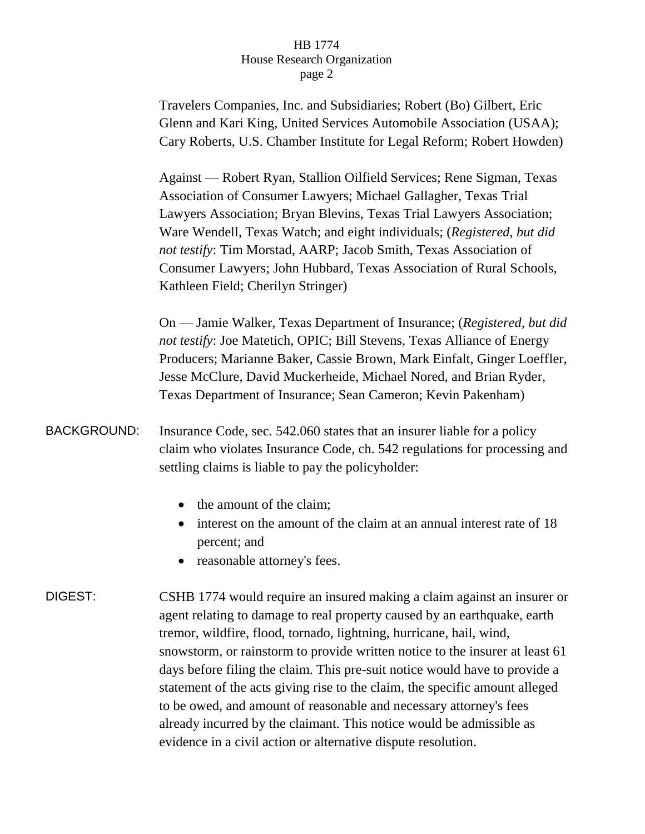Travelers Companies, Inc. and Subsidiaries; Robert (Bo) Gilbert, Eric Glenn and Kari King, United Services Automobile Association (USAA); Cary Roberts, U.S. Chamber Institute for Legal Reform; Robert Howden)

Against — Robert Ryan, Stallion Oilfield Services; Rene Sigman, Texas Association of Consumer Lawyers; Michael Gallagher, Texas Trial Lawyers Association; Bryan Blevins, Texas Trial Lawyers Association; Ware Wendell, Texas Watch; and eight individuals; (*Registered, but did not testify*: Tim Morstad, AARP; Jacob Smith, Texas Association of Consumer Lawyers; John Hubbard, Texas Association of Rural Schools, Kathleen Field; Cherilyn Stringer)

On — Jamie Walker, Texas Department of Insurance; (*Registered, but did not testify*: Joe Matetich, OPIC; Bill Stevens, Texas Alliance of Energy Producers; Marianne Baker, Cassie Brown, Mark Einfalt, Ginger Loeffler, Jesse McClure, David Muckerheide, Michael Nored, and Brian Ryder, Texas Department of Insurance; Sean Cameron; Kevin Pakenham)

- BACKGROUND: Insurance Code, sec. 542.060 states that an insurer liable for a policy claim who violates Insurance Code, ch. 542 regulations for processing and settling claims is liable to pay the policyholder:
	- the amount of the claim:
	- interest on the amount of the claim at an annual interest rate of 18 percent; and
	- reasonable attorney's fees.
- DIGEST: CSHB 1774 would require an insured making a claim against an insurer or agent relating to damage to real property caused by an earthquake, earth tremor, wildfire, flood, tornado, lightning, hurricane, hail, wind, snowstorm, or rainstorm to provide written notice to the insurer at least 61 days before filing the claim. This pre-suit notice would have to provide a statement of the acts giving rise to the claim, the specific amount alleged to be owed, and amount of reasonable and necessary attorney's fees already incurred by the claimant. This notice would be admissible as evidence in a civil action or alternative dispute resolution.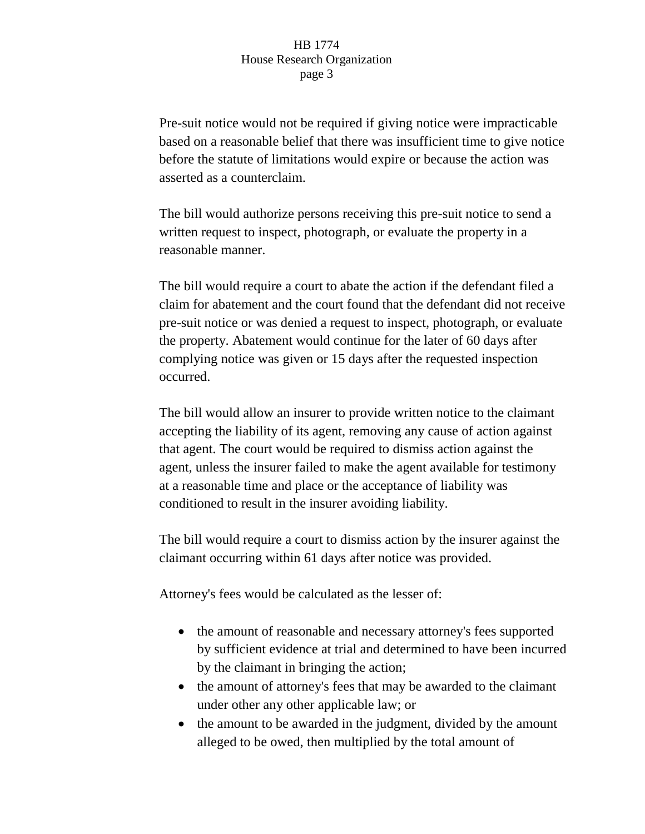Pre-suit notice would not be required if giving notice were impracticable based on a reasonable belief that there was insufficient time to give notice before the statute of limitations would expire or because the action was asserted as a counterclaim.

The bill would authorize persons receiving this pre-suit notice to send a written request to inspect, photograph, or evaluate the property in a reasonable manner.

The bill would require a court to abate the action if the defendant filed a claim for abatement and the court found that the defendant did not receive pre-suit notice or was denied a request to inspect, photograph, or evaluate the property. Abatement would continue for the later of 60 days after complying notice was given or 15 days after the requested inspection occurred.

The bill would allow an insurer to provide written notice to the claimant accepting the liability of its agent, removing any cause of action against that agent. The court would be required to dismiss action against the agent, unless the insurer failed to make the agent available for testimony at a reasonable time and place or the acceptance of liability was conditioned to result in the insurer avoiding liability.

The bill would require a court to dismiss action by the insurer against the claimant occurring within 61 days after notice was provided.

Attorney's fees would be calculated as the lesser of:

- the amount of reasonable and necessary attorney's fees supported by sufficient evidence at trial and determined to have been incurred by the claimant in bringing the action;
- the amount of attorney's fees that may be awarded to the claimant under other any other applicable law; or
- the amount to be awarded in the judgment, divided by the amount alleged to be owed, then multiplied by the total amount of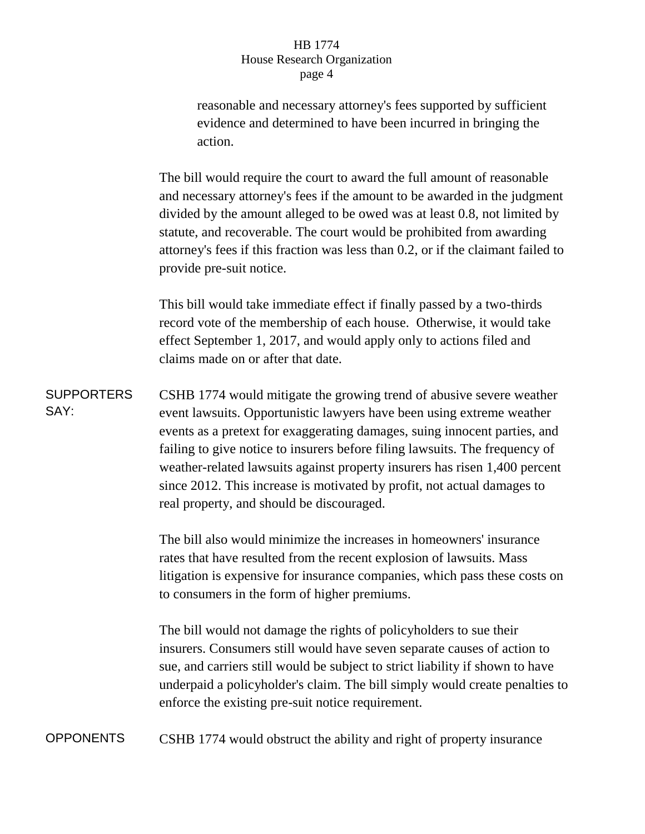reasonable and necessary attorney's fees supported by sufficient evidence and determined to have been incurred in bringing the action.

The bill would require the court to award the full amount of reasonable and necessary attorney's fees if the amount to be awarded in the judgment divided by the amount alleged to be owed was at least 0.8, not limited by statute, and recoverable. The court would be prohibited from awarding attorney's fees if this fraction was less than 0.2, or if the claimant failed to provide pre-suit notice.

This bill would take immediate effect if finally passed by a two-thirds record vote of the membership of each house. Otherwise, it would take effect September 1, 2017, and would apply only to actions filed and claims made on or after that date.

**SUPPORTERS** SAY: CSHB 1774 would mitigate the growing trend of abusive severe weather event lawsuits. Opportunistic lawyers have been using extreme weather events as a pretext for exaggerating damages, suing innocent parties, and failing to give notice to insurers before filing lawsuits. The frequency of weather-related lawsuits against property insurers has risen 1,400 percent since 2012. This increase is motivated by profit, not actual damages to real property, and should be discouraged.

> The bill also would minimize the increases in homeowners' insurance rates that have resulted from the recent explosion of lawsuits. Mass litigation is expensive for insurance companies, which pass these costs on to consumers in the form of higher premiums.

> The bill would not damage the rights of policyholders to sue their insurers. Consumers still would have seven separate causes of action to sue, and carriers still would be subject to strict liability if shown to have underpaid a policyholder's claim. The bill simply would create penalties to enforce the existing pre-suit notice requirement.

OPPONENTS CSHB 1774 would obstruct the ability and right of property insurance